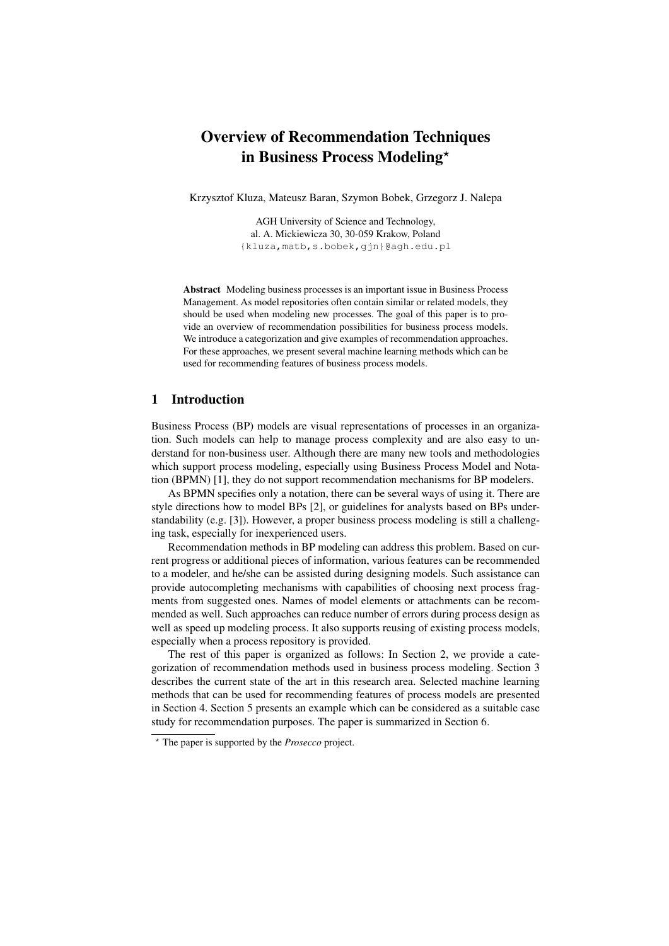# Overview of Recommendation Techniques in Business Process Modeling\*

Krzysztof Kluza, Mateusz Baran, Szymon Bobek, Grzegorz J. Nalepa

AGH University of Science and Technology, al. A. Mickiewicza 30, 30-059 Krakow, Poland {kluza,matb,s.bobek,gjn}@agh.edu.pl

Abstract Modeling business processes is an important issue in Business Process Management. As model repositories often contain similar or related models, they should be used when modeling new processes. The goal of this paper is to provide an overview of recommendation possibilities for business process models. We introduce a categorization and give examples of recommendation approaches. For these approaches, we present several machine learning methods which can be used for recommending features of business process models.

## 1 Introduction

Business Process (BP) models are visual representations of processes in an organization. Such models can help to manage process complexity and are also easy to understand for non-business user. Although there are many new tools and methodologies which support process modeling, especially using Business Process Model and Notation (BPMN) [1], they do not support recommendation mechanisms for BP modelers.

As BPMN specifies only a notation, there can be several ways of using it. There are style directions how to model BPs [2], or guidelines for analysts based on BPs understandability (e.g. [3]). However, a proper business process modeling is still a challenging task, especially for inexperienced users.

Recommendation methods in BP modeling can address this problem. Based on current progress or additional pieces of information, various features can be recommended to a modeler, and he/she can be assisted during designing models. Such assistance can provide autocompleting mechanisms with capabilities of choosing next process fragments from suggested ones. Names of model elements or attachments can be recommended as well. Such approaches can reduce number of errors during process design as well as speed up modeling process. It also supports reusing of existing process models, especially when a process repository is provided.

The rest of this paper is organized as follows: In Section 2, we provide a categorization of recommendation methods used in business process modeling. Section 3 describes the current state of the art in this research area. Selected machine learning methods that can be used for recommending features of process models are presented in Section 4. Section 5 presents an example which can be considered as a suitable case study for recommendation purposes. The paper is summarized in Section 6.

<sup>?</sup> The paper is supported by the *Prosecco* project.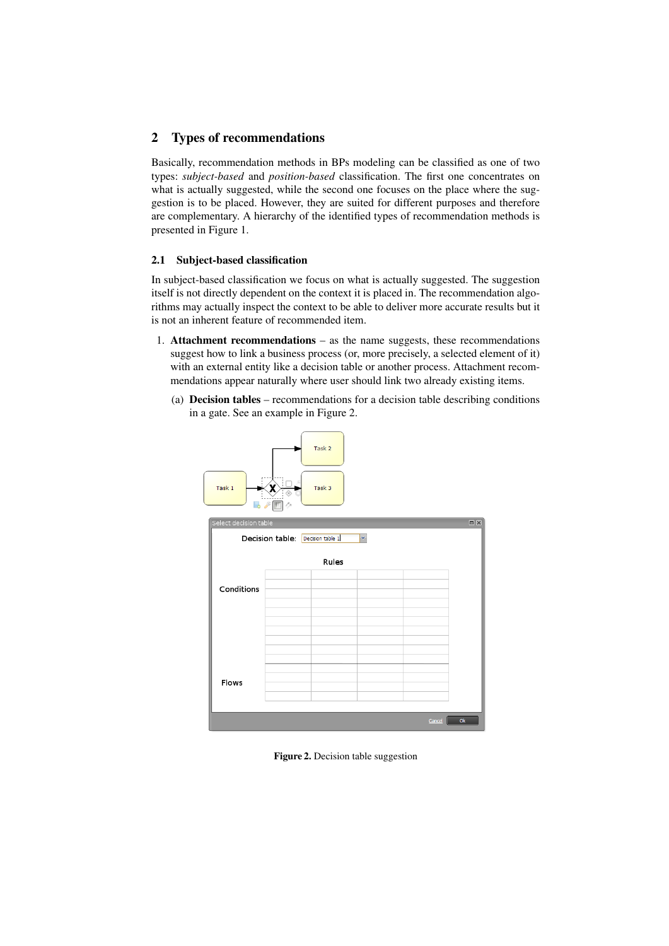# 2 Types of recommendations

Basically, recommendation methods in BPs modeling can be classified as one of two types: *subject-based* and *position-based* classification. The first one concentrates on what is actually suggested, while the second one focuses on the place where the suggestion is to be placed. However, they are suited for different purposes and therefore are complementary. A hierarchy of the identified types of recommendation methods is presented in Figure 1.

## 2.1 Subject-based classification

In subject-based classification we focus on what is actually suggested. The suggestion itself is not directly dependent on the context it is placed in. The recommendation algorithms may actually inspect the context to be able to deliver more accurate results but it is not an inherent feature of recommended item.

- 1. Attachment recommendations as the name suggests, these recommendations suggest how to link a business process (or, more precisely, a selected element of it) with an external entity like a decision table or another process. Attachment recommendations appear naturally where user should link two already existing items.
	- (a) Decision tables recommendations for a decision table describing conditions in a gate. See an example in Figure 2.



Figure 2. Decision table suggestion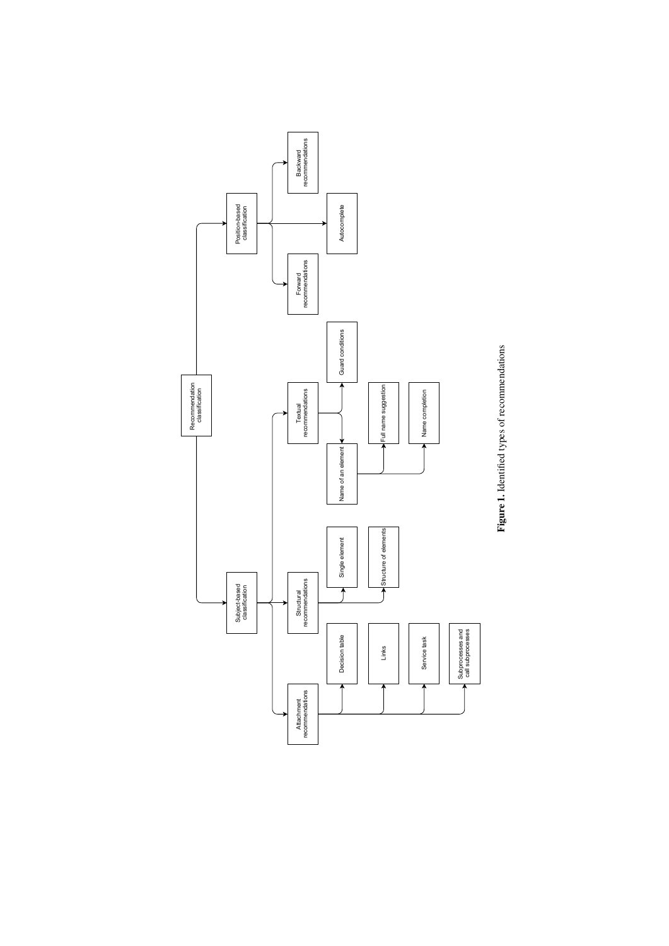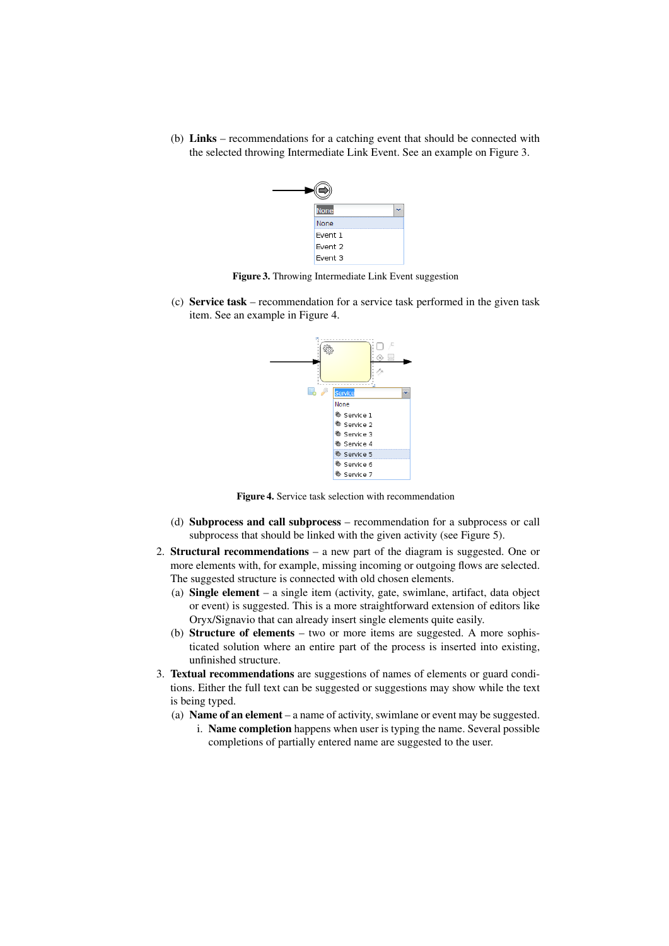(b) Links – recommendations for a catching event that should be connected with the selected throwing Intermediate Link Event. See an example on Figure 3.



Figure 3. Throwing Intermediate Link Event suggestion

(c) Service task – recommendation for a service task performed in the given task item. See an example in Figure 4.



Figure 4. Service task selection with recommendation

- (d) Subprocess and call subprocess recommendation for a subprocess or call subprocess that should be linked with the given activity (see Figure 5).
- 2. Structural recommendations a new part of the diagram is suggested. One or more elements with, for example, missing incoming or outgoing flows are selected. The suggested structure is connected with old chosen elements.
	- (a) Single element a single item (activity, gate, swimlane, artifact, data object or event) is suggested. This is a more straightforward extension of editors like Oryx/Signavio that can already insert single elements quite easily.
	- (b) Structure of elements two or more items are suggested. A more sophisticated solution where an entire part of the process is inserted into existing, unfinished structure.
- 3. Textual recommendations are suggestions of names of elements or guard conditions. Either the full text can be suggested or suggestions may show while the text is being typed.
	- (a) Name of an element a name of activity, swimlane or event may be suggested.
		- i. Name completion happens when user is typing the name. Several possible completions of partially entered name are suggested to the user.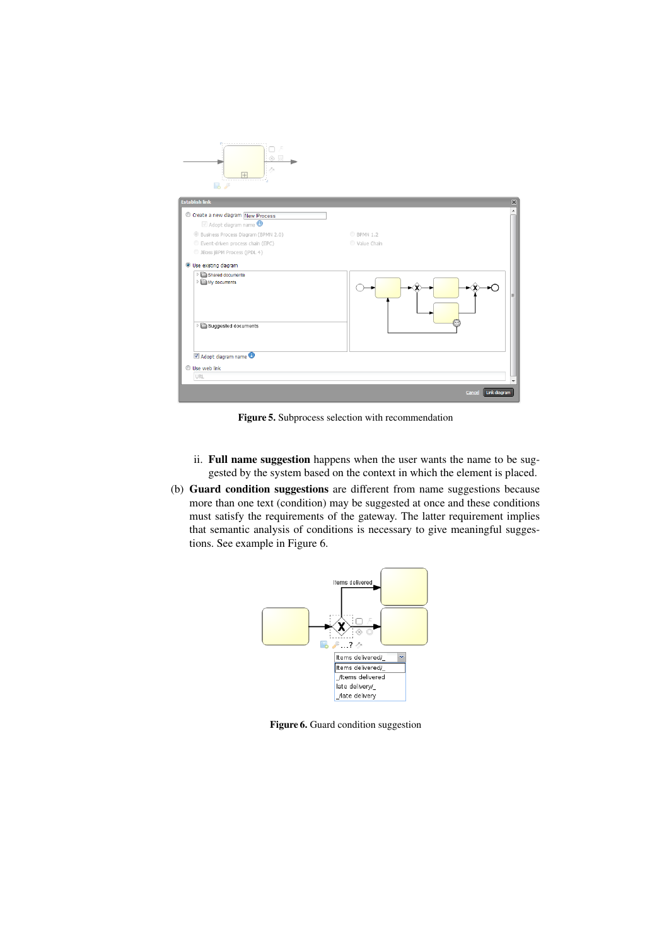

Figure 5. Subprocess selection with recommendation

- ii. Full name suggestion happens when the user wants the name to be suggested by the system based on the context in which the element is placed.
- (b) Guard condition suggestions are different from name suggestions because more than one text (condition) may be suggested at once and these conditions must satisfy the requirements of the gateway. The latter requirement implies that semantic analysis of conditions is necessary to give meaningful suggestions. See example in Figure 6.



Figure 6. Guard condition suggestion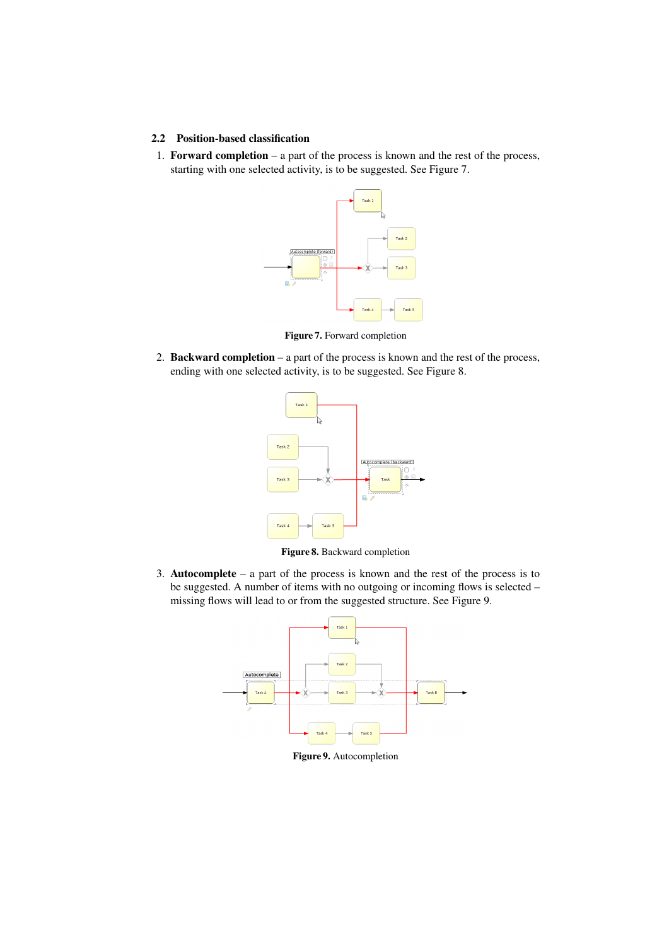## 2.2 Position-based classification

1. Forward completion – a part of the process is known and the rest of the process, starting with one selected activity, is to be suggested. See Figure 7.



Figure 7. Forward completion

2. Backward completion – a part of the process is known and the rest of the process, ending with one selected activity, is to be suggested. See Figure 8.



Figure 8. Backward completion

3. Autocomplete – a part of the process is known and the rest of the process is to be suggested. A number of items with no outgoing or incoming flows is selected – missing flows will lead to or from the suggested structure. See Figure 9.



Figure 9. Autocompletion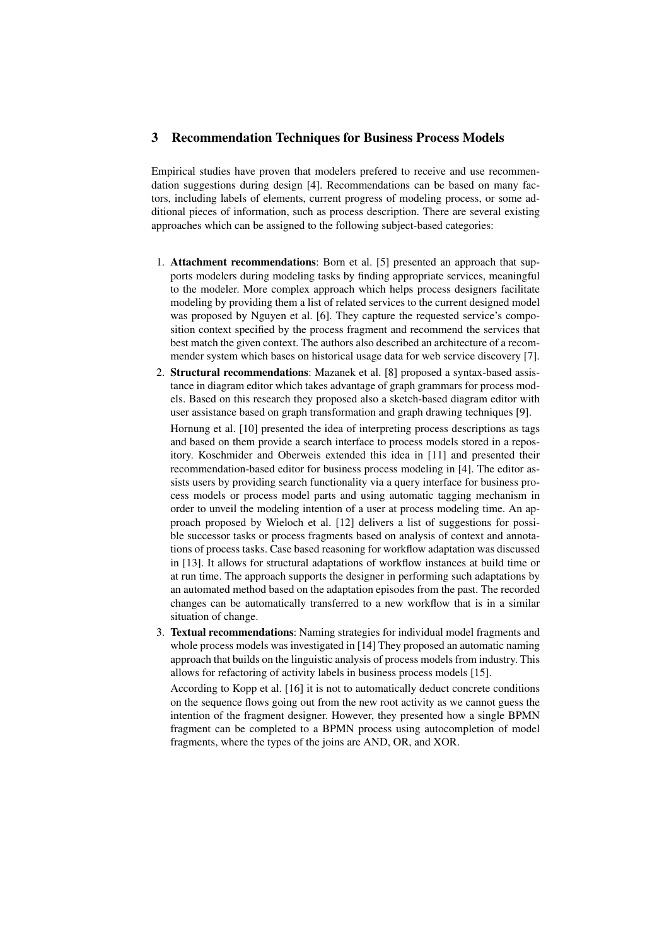## 3 Recommendation Techniques for Business Process Models

Empirical studies have proven that modelers prefered to receive and use recommendation suggestions during design [4]. Recommendations can be based on many factors, including labels of elements, current progress of modeling process, or some additional pieces of information, such as process description. There are several existing approaches which can be assigned to the following subject-based categories:

- 1. Attachment recommendations: Born et al. [5] presented an approach that supports modelers during modeling tasks by finding appropriate services, meaningful to the modeler. More complex approach which helps process designers facilitate modeling by providing them a list of related services to the current designed model was proposed by Nguyen et al. [6]. They capture the requested service's composition context specified by the process fragment and recommend the services that best match the given context. The authors also described an architecture of a recommender system which bases on historical usage data for web service discovery [7].
- 2. Structural recommendations: Mazanek et al. [8] proposed a syntax-based assistance in diagram editor which takes advantage of graph grammars for process models. Based on this research they proposed also a sketch-based diagram editor with user assistance based on graph transformation and graph drawing techniques [9].

Hornung et al. [10] presented the idea of interpreting process descriptions as tags and based on them provide a search interface to process models stored in a repository. Koschmider and Oberweis extended this idea in [11] and presented their recommendation-based editor for business process modeling in [4]. The editor assists users by providing search functionality via a query interface for business process models or process model parts and using automatic tagging mechanism in order to unveil the modeling intention of a user at process modeling time. An approach proposed by Wieloch et al. [12] delivers a list of suggestions for possible successor tasks or process fragments based on analysis of context and annotations of process tasks. Case based reasoning for workflow adaptation was discussed in [13]. It allows for structural adaptations of workflow instances at build time or at run time. The approach supports the designer in performing such adaptations by an automated method based on the adaptation episodes from the past. The recorded changes can be automatically transferred to a new workflow that is in a similar situation of change.

3. Textual recommendations: Naming strategies for individual model fragments and whole process models was investigated in [14] They proposed an automatic naming approach that builds on the linguistic analysis of process models from industry. This allows for refactoring of activity labels in business process models [15].

According to Kopp et al. [16] it is not to automatically deduct concrete conditions on the sequence flows going out from the new root activity as we cannot guess the intention of the fragment designer. However, they presented how a single BPMN fragment can be completed to a BPMN process using autocompletion of model fragments, where the types of the joins are AND, OR, and XOR.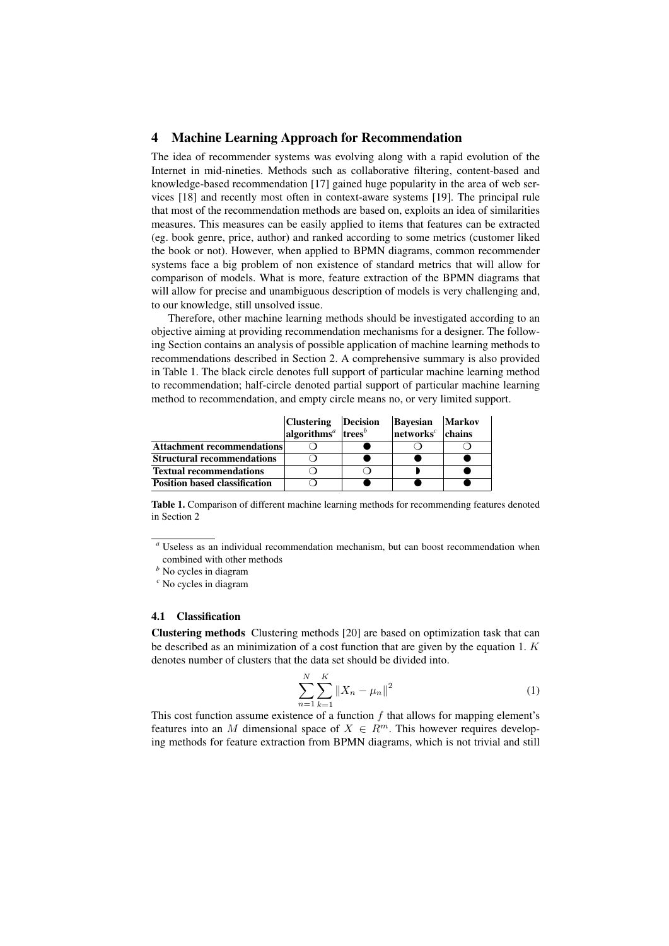## 4 Machine Learning Approach for Recommendation

The idea of recommender systems was evolving along with a rapid evolution of the Internet in mid-nineties. Methods such as collaborative filtering, content-based and knowledge-based recommendation [17] gained huge popularity in the area of web services [18] and recently most often in context-aware systems [19]. The principal rule that most of the recommendation methods are based on, exploits an idea of similarities measures. This measures can be easily applied to items that features can be extracted (eg. book genre, price, author) and ranked according to some metrics (customer liked the book or not). However, when applied to BPMN diagrams, common recommender systems face a big problem of non existence of standard metrics that will allow for comparison of models. What is more, feature extraction of the BPMN diagrams that will allow for precise and unambiguous description of models is very challenging and, to our knowledge, still unsolved issue.

Therefore, other machine learning methods should be investigated according to an objective aiming at providing recommendation mechanisms for a designer. The following Section contains an analysis of possible application of machine learning methods to recommendations described in Section 2. A comprehensive summary is also provided in Table 1. The black circle denotes full support of particular machine learning method to recommendation; half-circle denoted partial support of particular machine learning method to recommendation, and empty circle means no, or very limited support.

|                                      | Clustering   Decision                                    | <b>Bayesian</b>                 | Markov |
|--------------------------------------|----------------------------------------------------------|---------------------------------|--------|
|                                      | algorithms <sup><i>a</i></sup> trees <sup><i>b</i></sup> | $n$ etworks <sup>c</sup> chains |        |
| <b>Attachment recommendations</b>    |                                                          |                                 |        |
| <b>Structural recommendations</b>    |                                                          |                                 |        |
| <b>Textual recommendations</b>       |                                                          |                                 |        |
| <b>Position based classification</b> |                                                          |                                 |        |

Table 1. Comparison of different machine learning methods for recommending features denoted in Section 2

#### 4.1 Classification

Clustering methods Clustering methods [20] are based on optimization task that can be described as an minimization of a cost function that are given by the equation 1.  $K$ denotes number of clusters that the data set should be divided into.

$$
\sum_{n=1}^{N} \sum_{k=1}^{K} ||X_n - \mu_n||^2
$$
 (1)

This cost function assume existence of a function  $f$  that allows for mapping element's features into an M dimensional space of  $X \in \mathbb{R}^m$ . This however requires developing methods for feature extraction from BPMN diagrams, which is not trivial and still

*<sup>a</sup>* Useless as an individual recommendation mechanism, but can boost recommendation when combined with other methods

*<sup>b</sup>* No cycles in diagram

*<sup>c</sup>* No cycles in diagram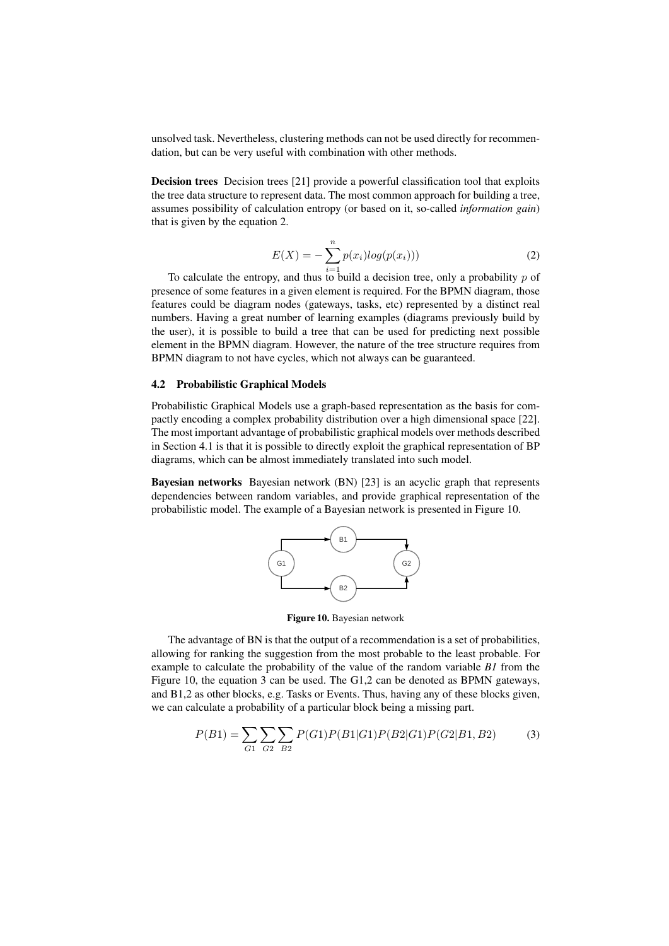unsolved task. Nevertheless, clustering methods can not be used directly for recommendation, but can be very useful with combination with other methods.

Decision trees Decision trees [21] provide a powerful classification tool that exploits the tree data structure to represent data. The most common approach for building a tree, assumes possibility of calculation entropy (or based on it, so-called *information gain*) that is given by the equation 2.

$$
E(X) = -\sum_{i=1}^{n} p(x_i) log(p(x_i)))
$$
\n(2)

To calculate the entropy, and thus to build a decision tree, only a probability p of presence of some features in a given element is required. For the BPMN diagram, those features could be diagram nodes (gateways, tasks, etc) represented by a distinct real numbers. Having a great number of learning examples (diagrams previously build by the user), it is possible to build a tree that can be used for predicting next possible element in the BPMN diagram. However, the nature of the tree structure requires from BPMN diagram to not have cycles, which not always can be guaranteed.

#### 4.2 Probabilistic Graphical Models

Probabilistic Graphical Models use a graph-based representation as the basis for compactly encoding a complex probability distribution over a high dimensional space [22]. The most important advantage of probabilistic graphical models over methods described in Section 4.1 is that it is possible to directly exploit the graphical representation of BP diagrams, which can be almost immediately translated into such model.

Bayesian networks Bayesian network (BN) [23] is an acyclic graph that represents dependencies between random variables, and provide graphical representation of the probabilistic model. The example of a Bayesian network is presented in Figure 10.



Figure 10. Bayesian network

The advantage of BN is that the output of a recommendation is a set of probabilities, allowing for ranking the suggestion from the most probable to the least probable. For example to calculate the probability of the value of the random variable *B1* from the Figure 10, the equation 3 can be used. The G1,2 can be denoted as BPMN gateways, and B1,2 as other blocks, e.g. Tasks or Events. Thus, having any of these blocks given, we can calculate a probability of a particular block being a missing part.

$$
P(B1) = \sum_{G1} \sum_{G2} \sum_{B2} P(G1)P(B1|G1)P(B2|G1)P(G2|B1, B2)
$$
 (3)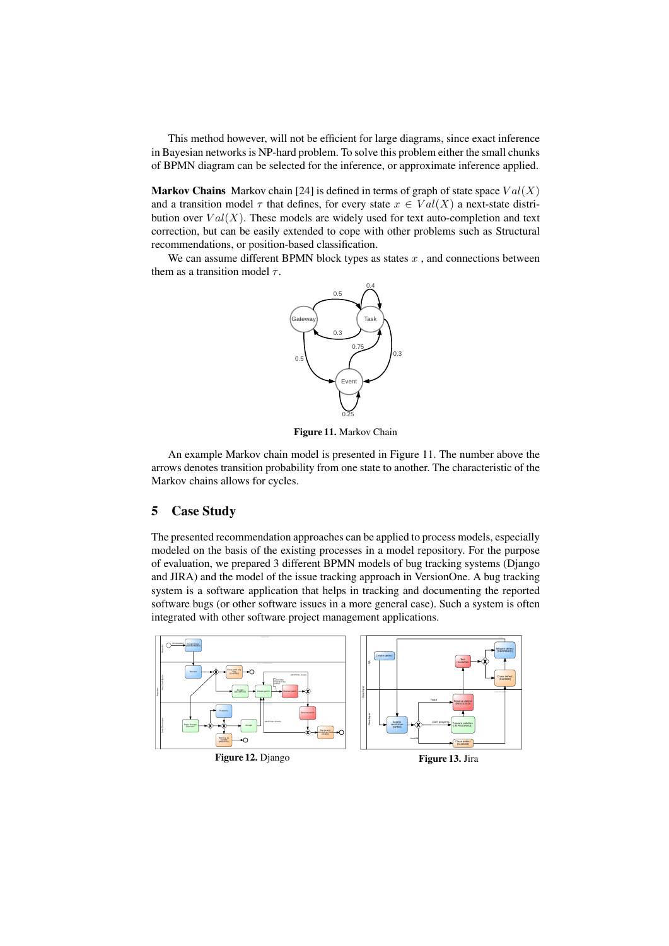This method however, will not be efficient for large diagrams, since exact inference in Bayesian networks is NP-hard problem. To solve this problem either the small chunks of BPMN diagram can be selected for the inference, or approximate inference applied.

**Markov Chains** Markov chain [24] is defined in terms of graph of state space  $Val(X)$ and a transition model  $\tau$  that defines, for every state  $x \in Val(X)$  a next-state distribution over  $Val(X)$ . These models are widely used for text auto-completion and text correction, but can be easily extended to cope with other problems such as Structural recommendations, or position-based classification.

We can assume different BPMN block types as states  $x$ , and connections between them as a transition model  $\tau$ .



Figure 11. Markov Chain

An example Markov chain model is presented in Figure 11. The number above the arrows denotes transition probability from one state to another. The characteristic of the Markov chains allows for cycles.

# 5 Case Study

The presented recommendation approaches can be applied to process models, especially modeled on the basis of the existing processes in a model repository. For the purpose of evaluation, we prepared 3 different BPMN models of bug tracking systems (Django and JIRA) and the model of the issue tracking approach in VersionOne. A bug tracking system is a software application that helps in tracking and documenting the reported software bugs (or other software issues in a more general case). Such a system is often integrated with other software project management applications.



Figure 12. Django

Figure 13. Jira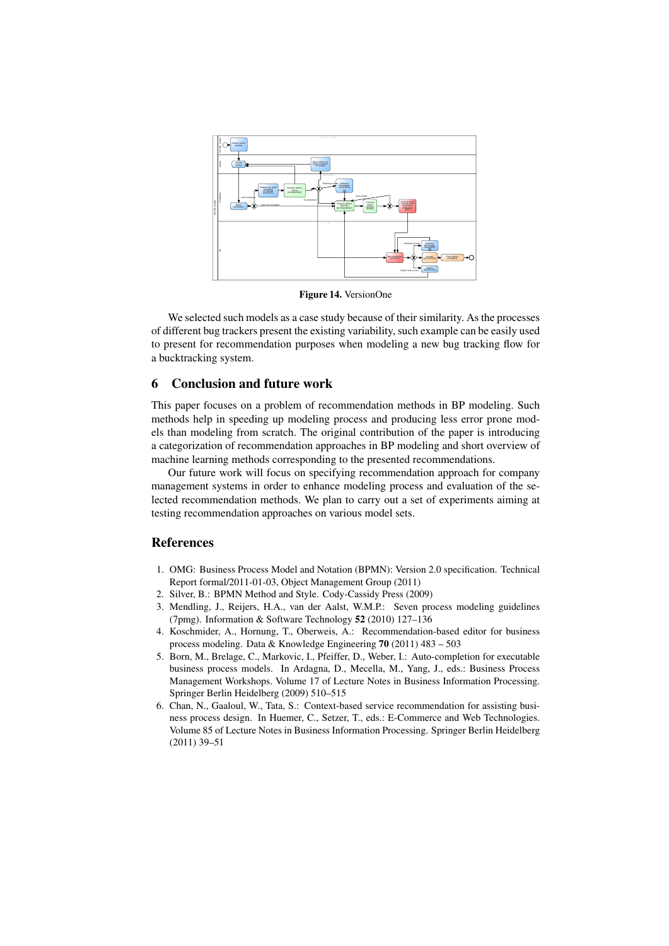

Figure 14. VersionOne

We selected such models as a case study because of their similarity. As the processes of different bug trackers present the existing variability, such example can be easily used to present for recommendation purposes when modeling a new bug tracking flow for a bucktracking system.

## 6 Conclusion and future work

This paper focuses on a problem of recommendation methods in BP modeling. Such methods help in speeding up modeling process and producing less error prone models than modeling from scratch. The original contribution of the paper is introducing a categorization of recommendation approaches in BP modeling and short overview of machine learning methods corresponding to the presented recommendations.

Our future work will focus on specifying recommendation approach for company management systems in order to enhance modeling process and evaluation of the selected recommendation methods. We plan to carry out a set of experiments aiming at testing recommendation approaches on various model sets.

## References

- 1. OMG: Business Process Model and Notation (BPMN): Version 2.0 specification. Technical Report formal/2011-01-03, Object Management Group (2011)
- 2. Silver, B.: BPMN Method and Style. Cody-Cassidy Press (2009)
- 3. Mendling, J., Reijers, H.A., van der Aalst, W.M.P.: Seven process modeling guidelines (7pmg). Information & Software Technology 52 (2010) 127–136
- 4. Koschmider, A., Hornung, T., Oberweis, A.: Recommendation-based editor for business process modeling. Data & Knowledge Engineering 70 (2011) 483 – 503
- 5. Born, M., Brelage, C., Markovic, I., Pfeiffer, D., Weber, I.: Auto-completion for executable business process models. In Ardagna, D., Mecella, M., Yang, J., eds.: Business Process Management Workshops. Volume 17 of Lecture Notes in Business Information Processing. Springer Berlin Heidelberg (2009) 510–515
- 6. Chan, N., Gaaloul, W., Tata, S.: Context-based service recommendation for assisting business process design. In Huemer, C., Setzer, T., eds.: E-Commerce and Web Technologies. Volume 85 of Lecture Notes in Business Information Processing. Springer Berlin Heidelberg (2011) 39–51